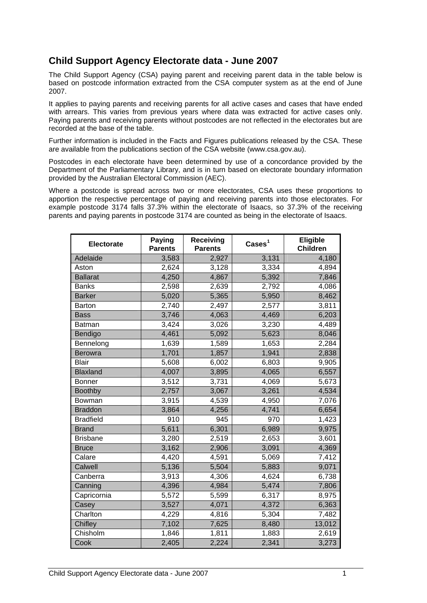## **Child Support Agency Electorate data - June 2007**

The Child Support Agency (CSA) paying parent and receiving parent data in the table below is based on postcode information extracted from the CSA computer system as at the end of June 2007.

It applies to paying parents and receiving parents for all active cases and cases that have ended with arrears. This varies from previous years where data was extracted for active cases only. Paying parents and receiving parents without postcodes are not reflected in the electorates but are recorded at the base of the table.

Further information is included in the Facts and Figures publications released by the CSA. These are available from the publications section of the CSA website (www.csa.gov.au).

Postcodes in each electorate have been determined by use of a concordance provided by the Department of the Parliamentary Library, and is in turn based on electorate boundary information provided by the Australian Electoral Commission (AEC).

Where a postcode is spread across two or more electorates, CSA uses these proportions to apportion the respective percentage of paying and receiving parents into those electorates. For example postcode 3174 falls 37.3% within the electorate of Isaacs, so 37.3% of the receiving parents and paying parents in postcode 3174 are counted as being in the electorate of Isaacs.

| <b>Electorate</b> | Paying<br><b>Parents</b> | <b>Receiving</b><br><b>Parents</b> | $\text{Case} \text{s}^1$ | Eligible<br><b>Children</b> |
|-------------------|--------------------------|------------------------------------|--------------------------|-----------------------------|
| Adelaide          | 3,583                    | 2,927                              | 3,131                    | 4,180                       |
| Aston             | 2,624                    | 3,128                              | 3,334                    | 4,894                       |
| <b>Ballarat</b>   | 4,250                    | 4,867                              | 5,392                    | 7,846                       |
| <b>Banks</b>      | 2,598                    | 2,639                              | 2,792                    | 4,086                       |
| <b>Barker</b>     | 5,020                    | 5,365                              | 5,950                    | 8,462                       |
| <b>Barton</b>     | 2,740                    | 2,497                              | 2,577                    | 3,811                       |
| <b>Bass</b>       | 3,746                    | 4,063                              | 4,469                    | 6,203                       |
| Batman            | 3,424                    | 3,026                              | 3,230                    | 4,489                       |
| Bendigo           | 4,461                    | 5,092                              | 5,623                    | 8,046                       |
| Bennelong         | 1,639                    | 1,589                              | 1,653                    | 2,284                       |
| <b>Berowra</b>    | 1,701                    | 1,857                              | 1,941                    | 2,838                       |
| <b>Blair</b>      | 5,608                    | 6,002                              | 6,803                    | 9,905                       |
| <b>Blaxland</b>   | 4,007                    | 3,895                              | 4,065                    | 6,557                       |
| <b>Bonner</b>     | 3,512                    | 3,731                              | 4,069                    | 5,673                       |
| <b>Boothby</b>    | 2,757                    | 3,067                              | 3,261                    | 4,534                       |
| Bowman            | 3,915                    | 4,539                              | 4,950                    | 7,076                       |
| <b>Braddon</b>    | 3,864                    | 4,256                              | 4,741                    | 6,654                       |
| <b>Bradfield</b>  | 910                      | 945                                | 970                      | 1,423                       |
| <b>Brand</b>      | 5,611                    | 6,301                              | 6,989                    | 9,975                       |
| <b>Brisbane</b>   | 3,280                    | 2,519                              | 2,653                    | 3,601                       |
| <b>Bruce</b>      | 3,162                    | 2,906                              | 3,091                    | 4,369                       |
| Calare            | 4,420                    | 4,591                              | 5,069                    | 7,412                       |
| Calwell           | 5,136                    | 5,504                              | 5,883                    | 9,071                       |
| Canberra          | 3,913                    | 4,306                              | 4,624                    | 6,738                       |
| Canning           | 4,396                    | 4,984                              | 5,474                    | 7,806                       |
| Capricornia       | 5,572                    | 5,599                              | 6,317                    | 8,975                       |
| Casey             | 3,527                    | 4,071                              | 4,372                    | 6,363                       |
| Charlton          | 4,229                    | 4,816                              | 5,304                    | 7,482                       |
| Chifley           | 7,102                    | 7,625                              | 8,480                    | 13,012                      |
| Chisholm          | 1,846                    | 1,811                              | 1,883                    | 2,619                       |
| Cook              | 2,405                    | 2,224                              | 2,341                    | 3,273                       |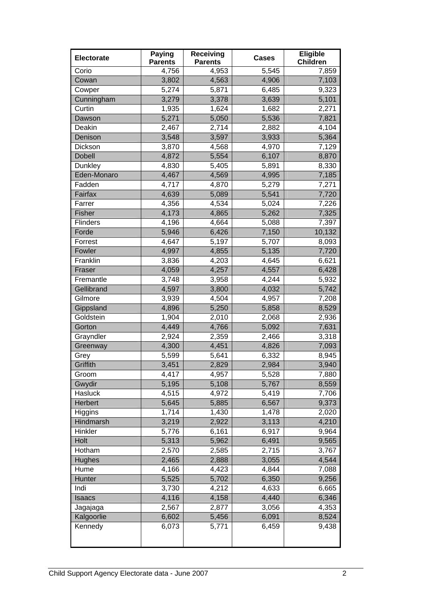| <b>Electorate</b> | <b>Paying</b><br><b>Parents</b> | Receiving<br><b>Parents</b> | <b>Cases</b> | Eligible<br><b>Children</b> |
|-------------------|---------------------------------|-----------------------------|--------------|-----------------------------|
| Corio             | 4,756                           | 4,953                       | 5,545        | 7,859                       |
| Cowan             | 3,802                           | 4,563                       | 4,906        | 7,103                       |
| Cowper            | 5,274                           | 5,871                       | 6,485        | 9,323                       |
| Cunningham        | 3,279                           | 3,378                       | 3,639        | 5,101                       |
| Curtin            | 1,935                           | 1,624                       | 1,682        | 2,271                       |
| Dawson            | 5,271                           | 5,050                       | 5,536        | 7,821                       |
| Deakin            | 2,467                           | 2,714                       | 2,882        | 4,104                       |
| Denison           | 3,548                           | 3,597                       | 3,933        | 5,364                       |
| Dickson           | 3,870                           | 4,568                       | 4,970        | 7,129                       |
| <b>Dobell</b>     | 4,872                           | 5,554                       | 6,107        | 8,870                       |
| Dunkley           | 4,830                           | 5,405                       | 5,891        | 8,330                       |
| Eden-Monaro       | 4,467                           | 4,569                       | 4,995        | 7,185                       |
| Fadden            | 4,717                           | 4,870                       | 5,279        | 7,271                       |
| Fairfax           | 4,639                           | 5,089                       | 5,541        | 7,720                       |
| Farrer            | 4,356                           | 4,534                       | 5,024        | 7,226                       |
| <b>Fisher</b>     | 4,173                           | 4,865                       | 5,262        | 7,325                       |
| Flinders          | 4,196                           | 4,664                       | 5,088        | 7,397                       |
| Forde             | 5,946                           | 6,426                       | 7,150        | 10,132                      |
| Forrest           | 4,647                           | 5,197                       | 5,707        | 8,093                       |
| Fowler            | 4,997                           | 4,855                       | 5,135        | 7,720                       |
| Franklin          | 3,836                           | 4,203                       | 4,645        | 6,621                       |
| Fraser            | 4,059                           | 4,257                       | 4,557        | 6,428                       |
| Fremantle         | 3,748                           | 3,958                       | 4,244        | 5,932                       |
| Gellibrand        | 4,597                           | 3,800                       | 4,032        | 5,742                       |
| Gilmore           | 3,939                           | 4,504                       | 4,957        | 7,208                       |
| Gippsland         | 4,896                           | 5,250                       | 5,858        | 8,529                       |
| Goldstein         | 1,904                           | 2,010                       | 2,068        | 2,936                       |
| Gorton            | 4,449                           | 4,766                       | 5,092        | 7,631                       |
| Grayndler         | 2,924                           | 2,359                       | 2,466        | 3,318                       |
| Greenway          | 4,300                           | 4,451                       | 4,826        | 7,093                       |
| Grey              | 5,599                           | 5,641                       | 6,332        | 8,945                       |
| Griffith          | 3,451                           | 2,829                       | 2,984        | 3,940                       |
| Groom             | 4,417                           | 4,957                       | 5,528        | 7,880                       |
| Gwydir            | 5,195                           | 5,108                       | 5,767        | 8,559                       |
| Hasluck           | 4,515                           | 4,972                       | 5,419        | 7,706                       |
| Herbert           | 5,645                           | 5,885                       | 6,567        | 9,373                       |
| Higgins           | 1,714                           | 1,430                       | 1,478        | 2,020                       |
| Hindmarsh         | 3,219                           | 2,922                       | 3,113        | 4,210                       |
| Hinkler           | 5,776                           | 6,161                       | 6,917        | 9,964                       |
| Holt              | 5,313                           | 5,962                       | 6,491        | 9,565                       |
| Hotham            | 2,570                           | 2,585                       | 2,715        | 3,767                       |
| <b>Hughes</b>     | 2,465                           | 2,888                       | 3,055        | 4,544                       |
| Hume              | 4,166                           | 4,423                       | 4,844        | 7,088                       |
| Hunter            | 5,525                           | 5,702                       | 6,350        | 9,256                       |
| Indi              | 3,730                           | 4,212                       | 4,633        | 6,665                       |
| <b>Isaacs</b>     | 4,116                           | 4,158                       | 4,440        | 6,346                       |
| Jagajaga          | 2,567                           | 2,877                       | 3,056        | 4,353                       |
| Kalgoorlie        | 6,602                           | 5,456                       | 6,091        | 8,524                       |
| Kennedy           | 6,073                           | 5,771                       | 6,459        | 9,438                       |
|                   |                                 |                             |              |                             |
|                   |                                 |                             |              |                             |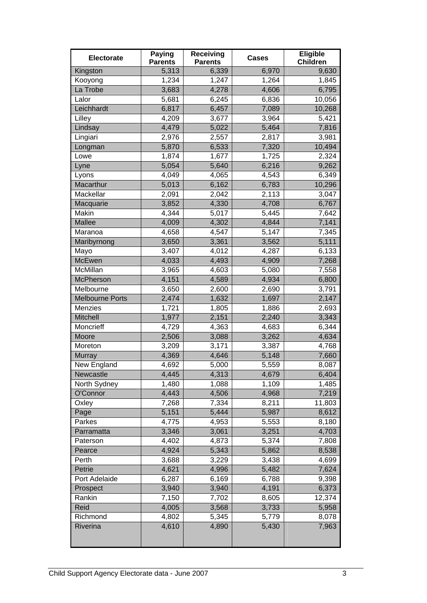| Electorate             | Paying<br><b>Parents</b> | Receiving<br><b>Parents</b> | <b>Cases</b> | Eligible<br><b>Children</b> |
|------------------------|--------------------------|-----------------------------|--------------|-----------------------------|
| Kingston               | 5,313                    | 6,339                       | 6,970        | 9,630                       |
| Kooyong                | 1,234                    | 1,247                       | 1,264        | 1,845                       |
| La Trobe               | 3,683                    | 4,278                       | 4,606        | 6,795                       |
| Lalor                  | 5,681                    | 6,245                       | 6,836        | 10,056                      |
| Leichhardt             | 6,817                    | 6,457                       | 7,089        | 10,268                      |
| Lilley                 | 4,209                    | 3,677                       | 3,964        | 5,421                       |
| Lindsay                | 4,479                    | 5,022                       | 5,464        | 7,816                       |
| Lingiari               | 2,976                    | 2,557                       | 2,817        | 3,981                       |
| Longman                | 5,870                    | 6,533                       | 7,320        | 10,494                      |
| Lowe                   | 1,874                    | 1,677                       | 1,725        | $\overline{2,}324$          |
| Lyne                   | 5,054                    | 5,640                       | 6,216        | 9,262                       |
| Lyons                  | 4,049                    | 4,065                       | 4,543        | 6,349                       |
| Macarthur              | 5,013                    | 6,162                       | 6,783        | 10,296                      |
| Mackellar              | 2,091                    | 2,042                       | 2,113        | 3,047                       |
| Macquarie              | 3,852                    | 4,330                       | 4,708        | 6,767                       |
| Makin                  | 4,344                    | 5,017                       | 5,445        | 7,642                       |
| <b>Mallee</b>          | 4,009                    | 4,302                       | 4,844        | 7,141                       |
| Maranoa                | 4,658                    | 4,547                       | 5,147        | 7,345                       |
| Maribyrnong            | 3,650                    | 3,361                       | 3,562        | 5,111                       |
| Mayo                   | 3,407                    | 4,012                       | 4,287        | 6,133                       |
| <b>McEwen</b>          | 4,033                    | 4,493                       | 4,909        | 7,268                       |
| McMillan               | 3,965                    | 4,603                       | 5,080        | 7,558                       |
| McPherson              | 4,151                    | 4,589                       | 4,934        | 6,800                       |
| Melbourne              | 3,650                    | 2,600                       | 2,690        | 3,791                       |
| <b>Melbourne Ports</b> | 2,474                    | 1,632                       | 1,697        | 2,147                       |
| Menzies                | 1,721                    | 1,805                       | 1,886        | 2,693                       |
| <b>Mitchell</b>        | 1,977                    | 2,151                       | 2,240        | 3,343                       |
| Moncrieff              | 4,729                    | 4,363                       | 4,683        | 6,344                       |
| Moore                  | 2,506                    | 3,088                       | 3,262        | 4,634                       |
| Moreton                | 3,209                    | 3,171                       | 3,387        | 4,768                       |
| <b>Murray</b>          | 4,369                    | 4,646                       | 5,148        | 7,660                       |
| New England            | 4,692                    | $\overline{5,000}$          | 5,559        | 8,087                       |
| Newcastle              | 4,445                    | 4,313                       | 4,679        | 6,404                       |
| North Sydney           | 1,480                    | 1,088                       | 1,109        | 1,485                       |
| O'Connor               | 4,443                    | 4,506                       | 4,968        | 7,219                       |
| Oxley                  | 7,268                    | $\overline{7}$ ,334         | 8,211        | 11,803                      |
| Page                   | 5,151                    | 5,444                       | 5,987        | 8,612                       |
| Parkes                 | 4,775                    | 4,953                       | 5,553        | 8,180                       |
| Parramatta             | 3,346                    | 3,061                       | 3,251        | 4,703                       |
| Paterson               | 4,402                    | 4,873                       | 5,374        | 7,808                       |
| Pearce                 | 4,924                    | 5,343                       | 5,862        | 8,538                       |
| Perth                  | 3,688                    | 3,229                       | 3,438        | 4,699                       |
| Petrie                 | 4,621                    | 4,996                       | 5,482        | 7,624                       |
| Port Adelaide          | 6,287                    | 6,169                       | 6,788        | 9,398                       |
| Prospect               | 3,940                    | 3,940                       | 4,191        | 6,373                       |
| Rankin                 | 7,150                    | 7,702                       | 8,605        | 12,374                      |
| Reid                   | 4,005                    | 3,568                       | 3,733        | 5,958                       |
| Richmond               | 4,802                    | 5,345                       | 5,779        | 8,078                       |
| Riverina               | 4,610                    | 4,890                       | 5,430        | 7,963                       |
|                        |                          |                             |              |                             |